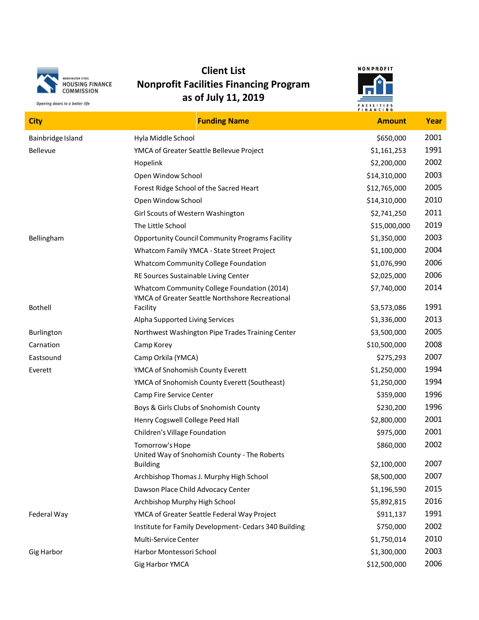

Opening doors to a better life

## **Client List Nonprofit Facilities Financing Program as of July 11, 2019**



**City Funding Name Amount Year** Bainbridge Island **Exercise Server Additional Hyla Middle School Bainbridge Island** \$650,000 2001 Bellevue **The Contract Seattle Bellevue Project** Allevia Equator S1,161,253 1991 Hopelink \$2,200,000 2002 Open Window School \$14,310,000 2003 Forest Ridge School of the Sacred Heart \$12,765,000 2005 Open Window School \$14,310,000 2010 Girl Scouts of Western Washington **\$2,741,250** 2011 The Little School **2019 Contract Contract Contract Contract Contract Contract Contract Contract Contract Contract Contract Contract Contract Contract Contract Contract Contract Contract Contract Contract Contract Contrac** Bellingham **Opportunity Council Community Programs Facility** 51,350,000 2003 Whatcom Family YMCA - State Street Project  $$1,100,000$  2004 Whatcom Community College Foundation  $$1,076,990$  2006 RE Sources Sustainable Living Center **\$2,025,000** 2006 Whatcom Community College Foundation (2014) \$7,740,000 2014 Bothell YMCA of Greater Seattle Northshore Recreational Facility **1991 1991** Alpha Supported Living Services  $$1,336,000$  2013 Burlington **Northwest Washington Pipe Trades Training Center** \$3,500,000 2005 Carnation Camp Korey \$10,500,000 2008 Eastsound Camp Orkila (YMCA) \$275,293 2007 Everett The MCA of Snohomish County Everett Franch (St. 250,000 1994) YMCA of Snohomish County Everett (Southeast) \$1,250,000 1994 Camp Fire Service Center **\$359,000** 1996 Boys & Girls Clubs of Snohomish County **\$230,200** 1996 Henry Cogswell College Peed Hall **1996** 2001 2001 2001 Children's Village Foundation  $$975,000$  2001 Tomorrow's Hope  $\sim$  2002 United Way of Snohomish County - The Roberts Building 2007 2007 2007 Archbishop Thomas J. Murphy High School **1992** 1993 **1994** 58,500,000 2007 Dawson Place Child Advocacy Center **\$1,196,590** 2015 Archbishop Murphy High School **1992, 1993** 12016 **55,892,815** 2016 Federal Way **Same Strutter Contract Contract Project** Federal Way Project **1991** 1991 1991 Institute for Family Development- Cedars 340 Building  $$750,000$  2002 Multi-Service Center **61,750,014** 2010 Gig Harbor Harbor Montessori School \$1,300,000 2003 Gig Harbor YMCA **312,500,000** 2006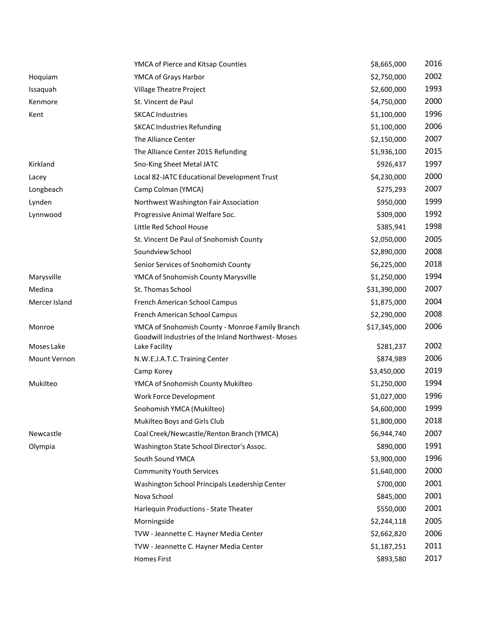|               | YMCA of Pierce and Kitsap Counties                                                                   | \$8,665,000  | 2016 |
|---------------|------------------------------------------------------------------------------------------------------|--------------|------|
| Hoquiam       | YMCA of Grays Harbor                                                                                 | \$2,750,000  | 2002 |
| Issaquah      | Village Theatre Project                                                                              | \$2,600,000  | 1993 |
| Kenmore       | St. Vincent de Paul                                                                                  | \$4,750,000  | 2000 |
| Kent          | <b>SKCAC Industries</b>                                                                              | \$1,100,000  | 1996 |
|               | <b>SKCAC Industries Refunding</b>                                                                    | \$1,100,000  | 2006 |
|               | The Alliance Center                                                                                  | \$2,150,000  | 2007 |
|               | The Alliance Center 2015 Refunding                                                                   | \$1,936,100  | 2015 |
| Kirkland      | Sno-King Sheet Metal JATC                                                                            | \$926,437    | 1997 |
| Lacey         | Local 82-JATC Educational Development Trust                                                          | \$4,230,000  | 2000 |
| Longbeach     | Camp Colman (YMCA)                                                                                   | \$275,293    | 2007 |
| Lynden        | Northwest Washington Fair Association                                                                | \$950,000    | 1999 |
| Lynnwood      | Progressive Animal Welfare Soc.                                                                      | \$309,000    | 1992 |
|               | Little Red School House                                                                              | \$385,941    | 1998 |
|               | St. Vincent De Paul of Snohomish County                                                              | \$2,050,000  | 2005 |
|               | Soundview School                                                                                     | \$2,890,000  | 2008 |
|               | Senior Services of Snohomish County                                                                  | \$6,225,000  | 2018 |
| Marysville    | YMCA of Snohomish County Marysville                                                                  | \$1,250,000  | 1994 |
| Medina        | St. Thomas School                                                                                    | \$31,390,000 | 2007 |
| Mercer Island | French American School Campus                                                                        | \$1,875,000  | 2004 |
|               | French American School Campus                                                                        | \$2,290,000  | 2008 |
| Monroe        | YMCA of Snohomish County - Monroe Family Branch<br>Goodwill Industries of the Inland Northwest-Moses | \$17,345,000 | 2006 |
| Moses Lake    | Lake Facility                                                                                        | \$281,237    | 2002 |
| Mount Vernon  | N.W.E.J.A.T.C. Training Center                                                                       | \$874,989    | 2006 |
|               | Camp Korey                                                                                           | \$3,450,000  | 2019 |
| Mukilteo      | YMCA of Snohomish County Mukilteo                                                                    | \$1,250,000  | 1994 |
|               | Work Force Development                                                                               | \$1,027,000  | 1996 |
|               | Snohomish YMCA (Mukilteo)                                                                            | \$4,600,000  | 1999 |
|               | Mukilteo Boys and Girls Club                                                                         | \$1,800,000  | 2018 |
| Newcastle     | Coal Creek/Newcastle/Renton Branch (YMCA)                                                            | \$6,944,740  | 2007 |
| Olympia       | Washington State School Director's Assoc.                                                            | \$890,000    | 1991 |
|               | South Sound YMCA                                                                                     | \$3,900,000  | 1996 |
|               | <b>Community Youth Services</b>                                                                      | \$1,640,000  | 2000 |
|               | Washington School Principals Leadership Center                                                       | \$700,000    | 2001 |
|               | Nova School                                                                                          | \$845,000    | 2001 |
|               | Harlequin Productions - State Theater                                                                | \$550,000    | 2001 |
|               | Morningside                                                                                          | \$2,244,118  | 2005 |
|               | TVW - Jeannette C. Hayner Media Center                                                               | \$2,662,820  | 2006 |
|               | TVW - Jeannette C. Hayner Media Center                                                               | \$1,187,251  | 2011 |
|               | <b>Homes First</b>                                                                                   | \$893,580    | 2017 |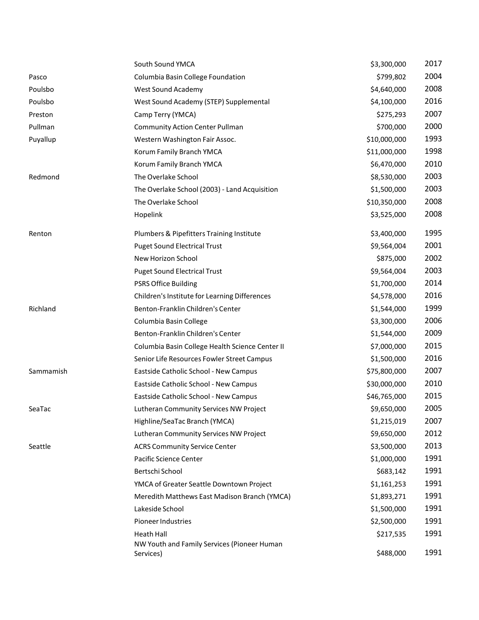|           | South Sound YMCA                                         | \$3,300,000  | 2017 |
|-----------|----------------------------------------------------------|--------------|------|
| Pasco     | Columbia Basin College Foundation                        | \$799,802    | 2004 |
| Poulsbo   | West Sound Academy                                       | \$4,640,000  | 2008 |
| Poulsbo   | West Sound Academy (STEP) Supplemental                   | \$4,100,000  | 2016 |
| Preston   | Camp Terry (YMCA)                                        | \$275,293    | 2007 |
| Pullman   | <b>Community Action Center Pullman</b>                   | \$700,000    | 2000 |
| Puyallup  | Western Washington Fair Assoc.                           | \$10,000,000 | 1993 |
|           | Korum Family Branch YMCA                                 | \$11,000,000 | 1998 |
|           | Korum Family Branch YMCA                                 | \$6,470,000  | 2010 |
| Redmond   | The Overlake School                                      | \$8,530,000  | 2003 |
|           | The Overlake School (2003) - Land Acquisition            | \$1,500,000  | 2003 |
|           | The Overlake School                                      | \$10,350,000 | 2008 |
|           | Hopelink                                                 | \$3,525,000  | 2008 |
| Renton    | Plumbers & Pipefitters Training Institute                | \$3,400,000  | 1995 |
|           | <b>Puget Sound Electrical Trust</b>                      | \$9,564,004  | 2001 |
|           | New Horizon School                                       | \$875,000    | 2002 |
|           | <b>Puget Sound Electrical Trust</b>                      | \$9,564,004  | 2003 |
|           | <b>PSRS Office Building</b>                              | \$1,700,000  | 2014 |
|           | Children's Institute for Learning Differences            | \$4,578,000  | 2016 |
| Richland  | Benton-Franklin Children's Center                        | \$1,544,000  | 1999 |
|           | Columbia Basin College                                   | \$3,300,000  | 2006 |
|           | Benton-Franklin Children's Center                        | \$1,544,000  | 2009 |
|           | Columbia Basin College Health Science Center II          | \$7,000,000  | 2015 |
|           | Senior Life Resources Fowler Street Campus               | \$1,500,000  | 2016 |
| Sammamish | Eastside Catholic School - New Campus                    | \$75,800,000 | 2007 |
|           | Eastside Catholic School - New Campus                    | \$30,000,000 | 2010 |
|           | Eastside Catholic School - New Campus                    | \$46,765,000 | 2015 |
| SeaTac    | Lutheran Community Services NW Project                   | \$9,650,000  | 2005 |
|           | Highline/SeaTac Branch (YMCA)                            | \$1,215,019  | 2007 |
|           | Lutheran Community Services NW Project                   | \$9,650,000  | 2012 |
| Seattle   | <b>ACRS Community Service Center</b>                     | \$3,500,000  | 2013 |
|           | Pacific Science Center                                   | \$1,000,000  | 1991 |
|           | Bertschi School                                          | \$683,142    | 1991 |
|           | YMCA of Greater Seattle Downtown Project                 | \$1,161,253  | 1991 |
|           | Meredith Matthews East Madison Branch (YMCA)             | \$1,893,271  | 1991 |
|           | Lakeside School                                          | \$1,500,000  | 1991 |
|           | <b>Pioneer Industries</b>                                | \$2,500,000  | 1991 |
|           | Heath Hall                                               | \$217,535    | 1991 |
|           | NW Youth and Family Services (Pioneer Human<br>Services) | \$488,000    | 1991 |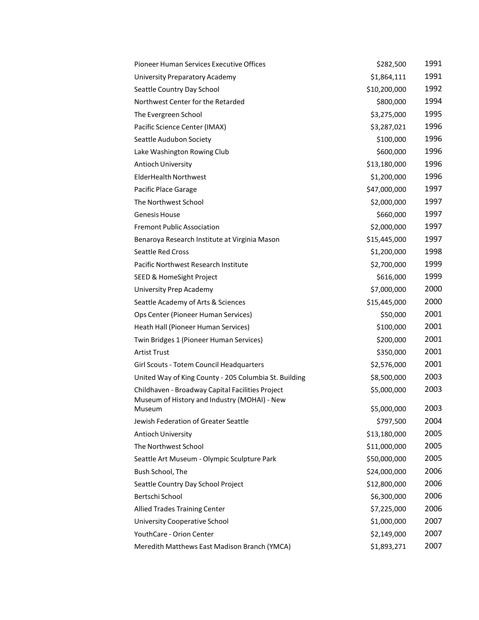| Pioneer Human Services Executive Offices                                                         | \$282,500    | 1991 |
|--------------------------------------------------------------------------------------------------|--------------|------|
| University Preparatory Academy                                                                   | \$1,864,111  | 1991 |
| Seattle Country Day School                                                                       | \$10,200,000 | 1992 |
| Northwest Center for the Retarded                                                                | \$800,000    | 1994 |
| The Evergreen School                                                                             | \$3,275,000  | 1995 |
| Pacific Science Center (IMAX)                                                                    | \$3,287,021  | 1996 |
| Seattle Audubon Society                                                                          | \$100,000    | 1996 |
| Lake Washington Rowing Club                                                                      | \$600,000    | 1996 |
| <b>Antioch University</b>                                                                        | \$13,180,000 | 1996 |
| <b>ElderHealth Northwest</b>                                                                     | \$1,200,000  | 1996 |
| Pacific Place Garage                                                                             | \$47,000,000 | 1997 |
| The Northwest School                                                                             | \$2,000,000  | 1997 |
| <b>Genesis House</b>                                                                             | \$660,000    | 1997 |
| <b>Fremont Public Association</b>                                                                | \$2,000,000  | 1997 |
| Benaroya Research Institute at Virginia Mason                                                    | \$15,445,000 | 1997 |
| <b>Seattle Red Cross</b>                                                                         | \$1,200,000  | 1998 |
| Pacific Northwest Research Institute                                                             | \$2,700,000  | 1999 |
| SEED & HomeSight Project                                                                         | \$616,000    | 1999 |
| University Prep Academy                                                                          | \$7,000,000  | 2000 |
| Seattle Academy of Arts & Sciences                                                               | \$15,445,000 | 2000 |
| Ops Center (Pioneer Human Services)                                                              | \$50,000     | 2001 |
| Heath Hall (Pioneer Human Services)                                                              | \$100,000    | 2001 |
| Twin Bridges 1 (Pioneer Human Services)                                                          | \$200,000    | 2001 |
| <b>Artist Trust</b>                                                                              | \$350,000    | 2001 |
| Girl Scouts - Totem Council Headquarters                                                         | \$2,576,000  | 2001 |
| United Way of King County - 205 Columbia St. Building                                            | \$8,500,000  | 2003 |
| Childhaven - Broadway Capital Facilities Project<br>Museum of History and Industry (MOHAI) - New | \$5,000,000  | 2003 |
| Museum                                                                                           | \$5,000,000  | 2003 |
| Jewish Federation of Greater Seattle                                                             | \$797,500    | 2004 |
| Antioch University                                                                               | \$13,180,000 | 2005 |
| The Northwest School                                                                             | \$11,000,000 | 2005 |
| Seattle Art Museum - Olympic Sculpture Park                                                      | \$50,000,000 | 2005 |
| Bush School, The                                                                                 | \$24,000,000 | 2006 |
| Seattle Country Day School Project                                                               | \$12,800,000 | 2006 |
| Bertschi School                                                                                  | \$6,300,000  | 2006 |
| <b>Allied Trades Training Center</b>                                                             | \$7,225,000  | 2006 |
| University Cooperative School                                                                    | \$1,000,000  | 2007 |
| YouthCare - Orion Center                                                                         | \$2,149,000  | 2007 |
| Meredith Matthews East Madison Branch (YMCA)                                                     | \$1,893,271  | 2007 |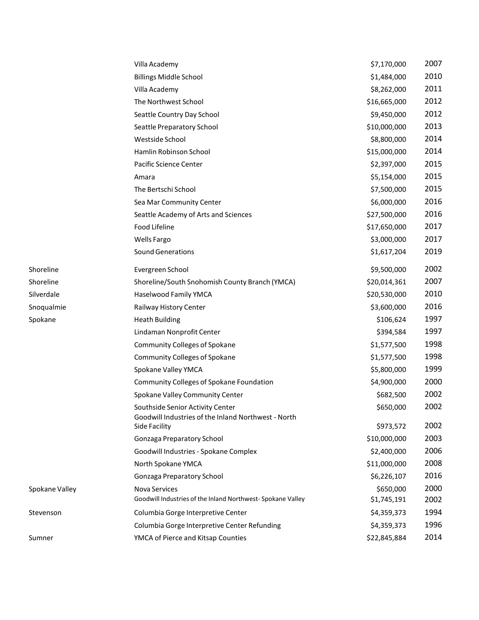|                | Villa Academy                                                                           | \$7,170,000  | 2007 |
|----------------|-----------------------------------------------------------------------------------------|--------------|------|
|                | <b>Billings Middle School</b>                                                           | \$1,484,000  | 2010 |
|                | Villa Academy                                                                           | \$8,262,000  | 2011 |
|                | The Northwest School                                                                    | \$16,665,000 | 2012 |
|                | Seattle Country Day School                                                              | \$9,450,000  | 2012 |
|                | Seattle Preparatory School                                                              | \$10,000,000 | 2013 |
|                | Westside School                                                                         | \$8,800,000  | 2014 |
|                | Hamlin Robinson School                                                                  | \$15,000,000 | 2014 |
|                | Pacific Science Center                                                                  | \$2,397,000  | 2015 |
|                | Amara                                                                                   | \$5,154,000  | 2015 |
|                | The Bertschi School                                                                     | \$7,500,000  | 2015 |
|                | Sea Mar Community Center                                                                | \$6,000,000  | 2016 |
|                | Seattle Academy of Arts and Sciences                                                    | \$27,500,000 | 2016 |
|                | Food Lifeline                                                                           | \$17,650,000 | 2017 |
|                | <b>Wells Fargo</b>                                                                      | \$3,000,000  | 2017 |
|                | <b>Sound Generations</b>                                                                | \$1,617,204  | 2019 |
| Shoreline      | Evergreen School                                                                        | \$9,500,000  | 2002 |
| Shoreline      | Shoreline/South Snohomish County Branch (YMCA)                                          | \$20,014,361 | 2007 |
| Silverdale     | Haselwood Family YMCA                                                                   | \$20,530,000 | 2010 |
| Snoqualmie     | Railway History Center                                                                  | \$3,600,000  | 2016 |
| Spokane        | <b>Heath Building</b>                                                                   | \$106,624    | 1997 |
|                | Lindaman Nonprofit Center                                                               | \$394,584    | 1997 |
|                | <b>Community Colleges of Spokane</b>                                                    | \$1,577,500  | 1998 |
|                | <b>Community Colleges of Spokane</b>                                                    | \$1,577,500  | 1998 |
|                | Spokane Valley YMCA                                                                     | \$5,800,000  | 1999 |
|                | Community Colleges of Spokane Foundation                                                | \$4,900,000  | 2000 |
|                | Spokane Valley Community Center                                                         | \$682,500    | 2002 |
|                | Southside Senior Activity Center<br>Goodwill Industries of the Inland Northwest - North | \$650,000    | 2002 |
|                | Side Facility                                                                           | \$973,572    | 2002 |
|                | Gonzaga Preparatory School                                                              | \$10,000,000 | 2003 |
|                | Goodwill Industries - Spokane Complex                                                   | \$2,400,000  | 2006 |
|                | North Spokane YMCA                                                                      | \$11,000,000 | 2008 |
|                | Gonzaga Preparatory School                                                              | \$6,226,107  | 2016 |
| Spokane Valley | Nova Services                                                                           | \$650,000    | 2000 |
|                | Goodwill Industries of the Inland Northwest-Spokane Valley                              | \$1,745,191  | 2002 |
| Stevenson      | Columbia Gorge Interpretive Center                                                      | \$4,359,373  | 1994 |
|                | Columbia Gorge Interpretive Center Refunding                                            | \$4,359,373  | 1996 |
| Sumner         | YMCA of Pierce and Kitsap Counties                                                      | \$22,845,884 | 2014 |